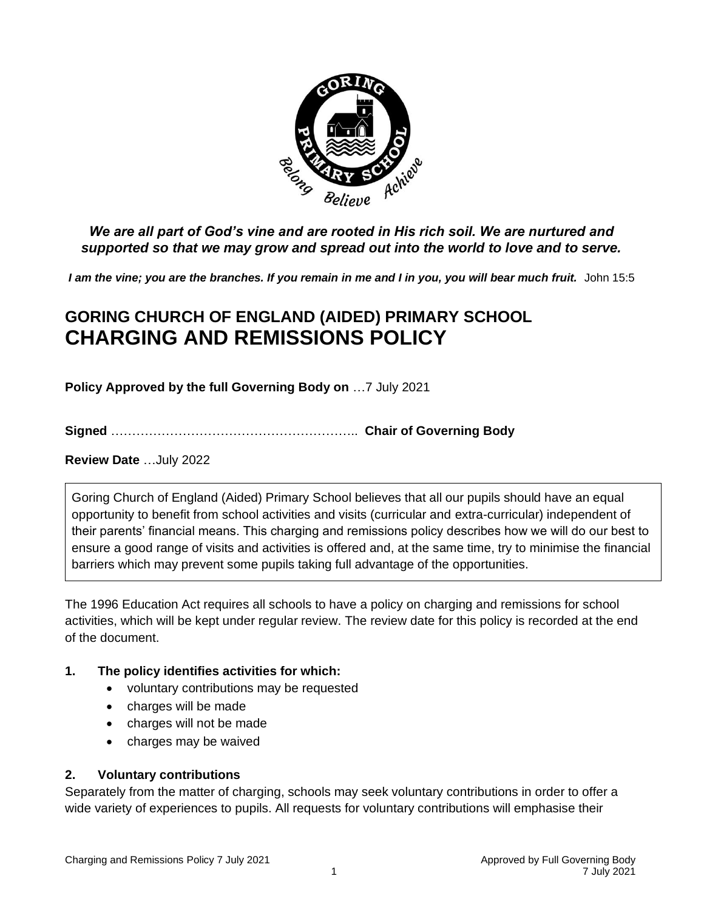

*We are all part of God's vine and are rooted in His rich soil. We are nurtured and supported so that we may grow and spread out into the world to love and to serve.*

I am the vine; you are the branches. If you remain in me and I in you, you will bear much fruit. John 15:5

# **GORING CHURCH OF ENGLAND (AIDED) PRIMARY SCHOOL CHARGING AND REMISSIONS POLICY**

**Policy Approved by the full Governing Body on** …7 July 2021

**Signed** ………………………………………………….. **Chair of Governing Body**

**Review Date** …July 2022

Goring Church of England (Aided) Primary School believes that all our pupils should have an equal opportunity to benefit from school activities and visits (curricular and extra-curricular) independent of their parents' financial means. This charging and remissions policy describes how we will do our best to ensure a good range of visits and activities is offered and, at the same time, try to minimise the financial barriers which may prevent some pupils taking full advantage of the opportunities.

The 1996 Education Act requires all schools to have a policy on charging and remissions for school activities, which will be kept under regular review. The review date for this policy is recorded at the end of the document.

#### **1. The policy identifies activities for which:**

- voluntary contributions may be requested
- charges will be made
- charges will not be made
- charges may be waived

#### **2. Voluntary contributions**

Separately from the matter of charging, schools may seek voluntary contributions in order to offer a wide variety of experiences to pupils. All requests for voluntary contributions will emphasise their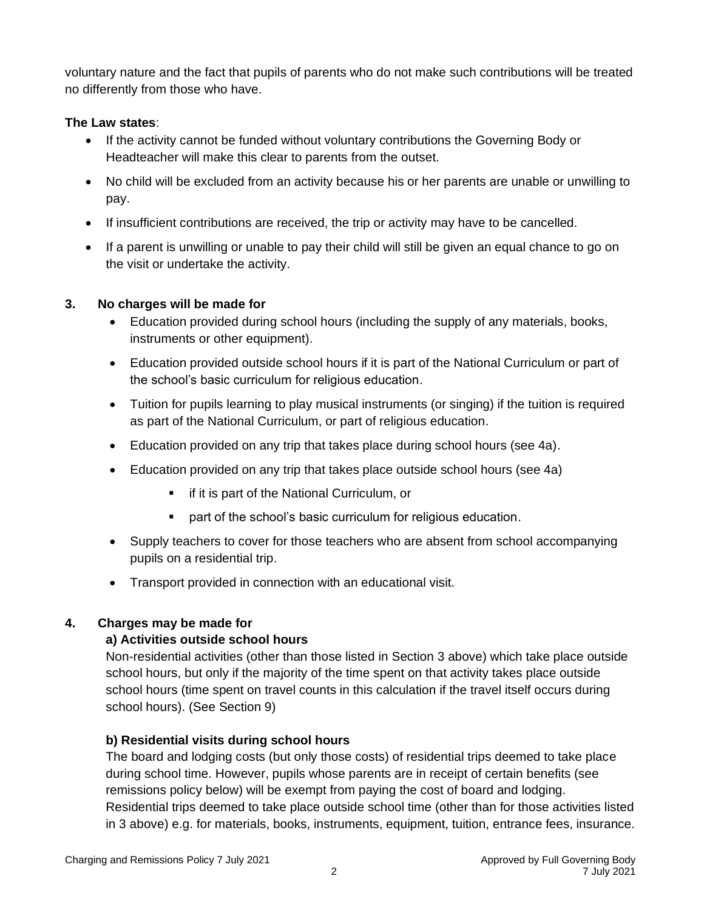voluntary nature and the fact that pupils of parents who do not make such contributions will be treated no differently from those who have.

#### **The Law states**:

- If the activity cannot be funded without voluntary contributions the Governing Body or Headteacher will make this clear to parents from the outset.
- No child will be excluded from an activity because his or her parents are unable or unwilling to pay.
- If insufficient contributions are received, the trip or activity may have to be cancelled.
- If a parent is unwilling or unable to pay their child will still be given an equal chance to go on the visit or undertake the activity.

#### **3. No charges will be made for**

- Education provided during school hours (including the supply of any materials, books, instruments or other equipment).
- Education provided outside school hours if it is part of the National Curriculum or part of the school's basic curriculum for religious education.
- Tuition for pupils learning to play musical instruments (or singing) if the tuition is required as part of the National Curriculum, or part of religious education.
- Education provided on any trip that takes place during school hours (see 4a).
- Education provided on any trip that takes place outside school hours (see 4a)
	- if it is part of the National Curriculum, or
	- part of the school's basic curriculum for religious education.
- Supply teachers to cover for those teachers who are absent from school accompanying pupils on a residential trip.
- Transport provided in connection with an educational visit.

#### **4. Charges may be made for**

#### **a) Activities outside school hours**

Non-residential activities (other than those listed in Section 3 above) which take place outside school hours, but only if the majority of the time spent on that activity takes place outside school hours (time spent on travel counts in this calculation if the travel itself occurs during school hours). (See Section 9)

#### **b) Residential visits during school hours**

The board and lodging costs (but only those costs) of residential trips deemed to take place during school time. However, pupils whose parents are in receipt of certain benefits (see remissions policy below) will be exempt from paying the cost of board and lodging. Residential trips deemed to take place outside school time (other than for those activities listed in 3 above) e.g. for materials, books, instruments, equipment, tuition, entrance fees, insurance.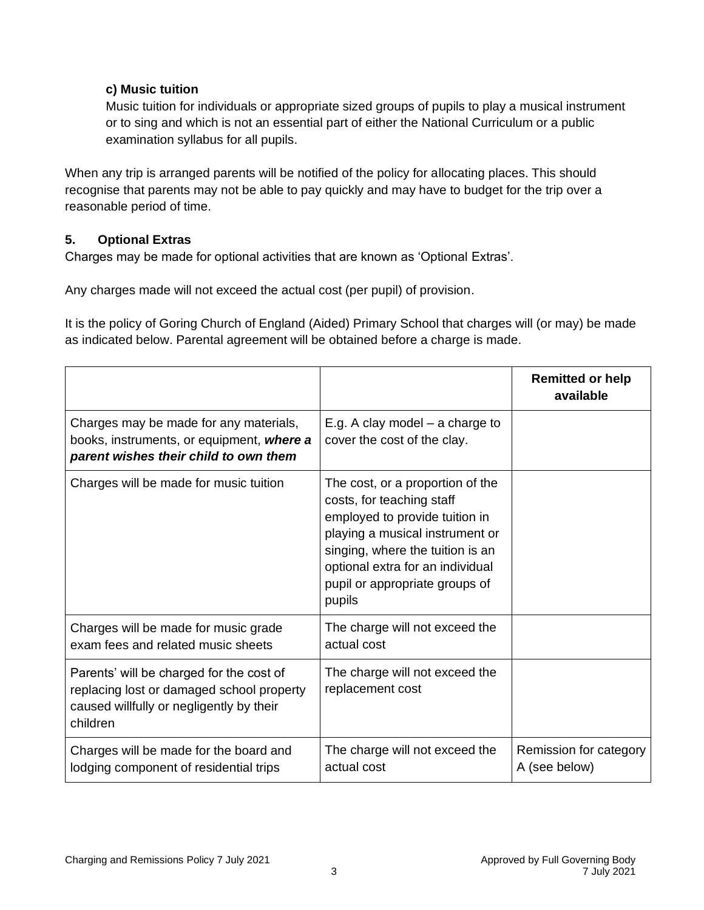#### **c) Music tuition**

Music tuition for individuals or appropriate sized groups of pupils to play a musical instrument or to sing and which is not an essential part of either the National Curriculum or a public examination syllabus for all pupils.

When any trip is arranged parents will be notified of the policy for allocating places. This should recognise that parents may not be able to pay quickly and may have to budget for the trip over a reasonable period of time.

#### **5. Optional Extras**

Charges may be made for optional activities that are known as 'Optional Extras'.

Any charges made will not exceed the actual cost (per pupil) of provision.

It is the policy of Goring Church of England (Aided) Primary School that charges will (or may) be made as indicated below. Parental agreement will be obtained before a charge is made.

|                                                                                                                                               |                                                                                                                                                                                                                                                        | <b>Remitted or help</b><br>available    |
|-----------------------------------------------------------------------------------------------------------------------------------------------|--------------------------------------------------------------------------------------------------------------------------------------------------------------------------------------------------------------------------------------------------------|-----------------------------------------|
| Charges may be made for any materials,<br>books, instruments, or equipment, where a<br>parent wishes their child to own them                  | E.g. A clay model $-$ a charge to<br>cover the cost of the clay.                                                                                                                                                                                       |                                         |
| Charges will be made for music tuition                                                                                                        | The cost, or a proportion of the<br>costs, for teaching staff<br>employed to provide tuition in<br>playing a musical instrument or<br>singing, where the tuition is an<br>optional extra for an individual<br>pupil or appropriate groups of<br>pupils |                                         |
| Charges will be made for music grade<br>exam fees and related music sheets                                                                    | The charge will not exceed the<br>actual cost                                                                                                                                                                                                          |                                         |
| Parents' will be charged for the cost of<br>replacing lost or damaged school property<br>caused willfully or negligently by their<br>children | The charge will not exceed the<br>replacement cost                                                                                                                                                                                                     |                                         |
| Charges will be made for the board and<br>lodging component of residential trips                                                              | The charge will not exceed the<br>actual cost                                                                                                                                                                                                          | Remission for category<br>A (see below) |